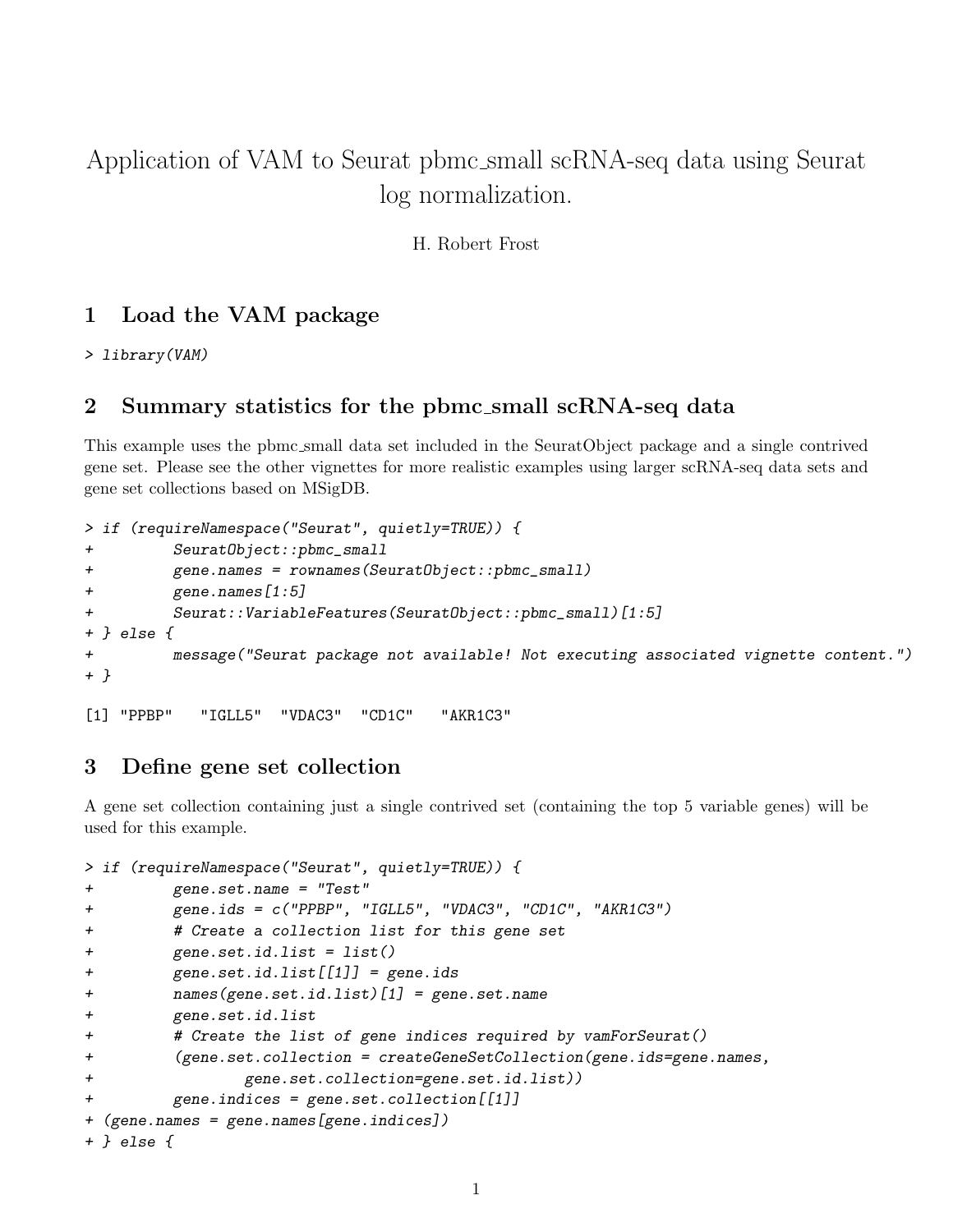# Application of VAM to Seurat pbmc small scRNA-seq data using Seurat log normalization.

H. Robert Frost

## 1 Load the VAM package

> library(VAM)

#### 2 Summary statistics for the pbmc small scRNA-seq data

This example uses the pbmc small data set included in the SeuratObject package and a single contrived gene set. Please see the other vignettes for more realistic examples using larger scRNA-seq data sets and gene set collections based on MSigDB.

```
> if (requireNamespace("Seurat", quietly=TRUE)) {
+ SeuratObject::pbmc_small
+ gene.names = rownames(SeuratObject::pbmc_small)
+ gene.names[1:5]
         + Seurat::VariableFeatures(SeuratObject::pbmc_small)[1:5]
+ } else {
+ message("Seurat package not available! Not executing associated vignette content.")
+ }
[1] "PPBP" "IGLL5" "VDAC3" "CD1C" "AKR1C3"
```
#### 3 Define gene set collection

A gene set collection containing just a single contrived set (containing the top 5 variable genes) will be used for this example.

```
> if (requireNamespace("Seurat", quietly=TRUE)) {
+ gene.set.name = "Test"
+ gene.ids = c("PPBP", "IGLL5", "VDAC3", "CD1C", "AKR1C3")
+ # Create a collection list for this gene set
+ gene.set.id.list = list()
+ gene.set.id.list[[1]] = gene.ids
+ names(gene.set.id.list)[1] = gene.set.name
+ gene.set.id.list
+ # Create the list of gene indices required by vamForSeurat()
+ (gene.set.collection = createGeneSetCollection(gene.ids=gene.names,
+ gene.set.collection=gene.set.id.list))
        gene.indices = gene.set.collection[[1]]+ (gene.names = gene.names[gene.indices])
+ } else {
```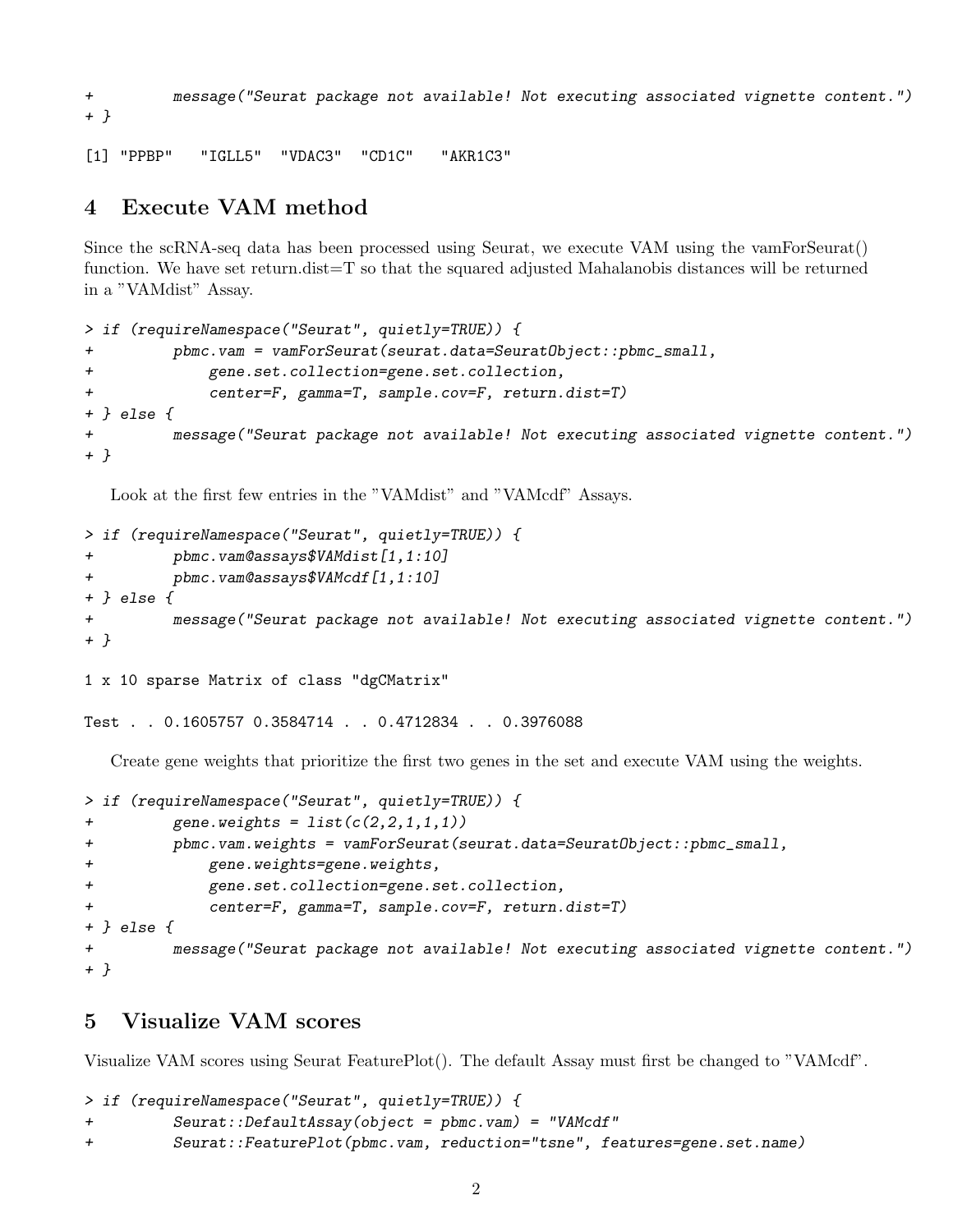+ message("Seurat package not available! Not executing associated vignette content.") + }

[1] "PPBP" "IGLL5" "VDAC3" "CD1C" "AKR1C3"

## 4 Execute VAM method

Since the scRNA-seq data has been processed using Seurat, we execute VAM using the vamForSeurat() function. We have set return.dist=T so that the squared adjusted Mahalanobis distances will be returned in a "VAMdist" Assay.

```
> if (requireNamespace("Seurat", quietly=TRUE)) {
+ pbmc.vam = vamForSeurat(seurat.data=SeuratObject::pbmc_small,
+ gene.set.collection=gene.set.collection,
+ center=F, gamma=T, sample.cov=F, return.dist=T)
+ } else {
         message("Seurat package not available! Not executing associated vignette content.")
+ }
```
Look at the first few entries in the "VAMdist" and "VAMcdf" Assays.

```
> if (requireNamespace("Seurat", quietly=TRUE)) {
+ pbmc.vam@assays$VAMdist[1,1:10]
+ pbmc.vam@assays$VAMcdf[1,1:10]
+ } else {
+ message("Seurat package not available! Not executing associated vignette content.")
+ }
1 x 10 sparse Matrix of class "dgCMatrix"
```
Test . . 0.1605757 0.3584714 . . 0.4712834 . . 0.3976088

Create gene weights that prioritize the first two genes in the set and execute VAM using the weights.

```
> if (requireNamespace("Seurat", quietly=TRUE)) {
+ gene.weights = list(c(2,2,1,1,1))+ pbmc.vam.weights = vamForSeurat(seurat.data=SeuratObject::pbmc_small,
+ gene.weights=gene.weights,
+ gene.set.collection=gene.set.collection,
            center=F, gamma=T, sample.cov=F, return.dist=T)
+ } else {
+ message("Seurat package not available! Not executing associated vignette content.")
+ }
```
### 5 Visualize VAM scores

Visualize VAM scores using Seurat FeaturePlot(). The default Assay must first be changed to "VAMcdf".

```
> if (requireNamespace("Seurat", quietly=TRUE)) {
+ Seurat::DefaultAssay(object = pbmc.vam) = "VAMcdf"
+ Seurat::FeaturePlot(pbmc.vam, reduction="tsne", features=gene.set.name)
```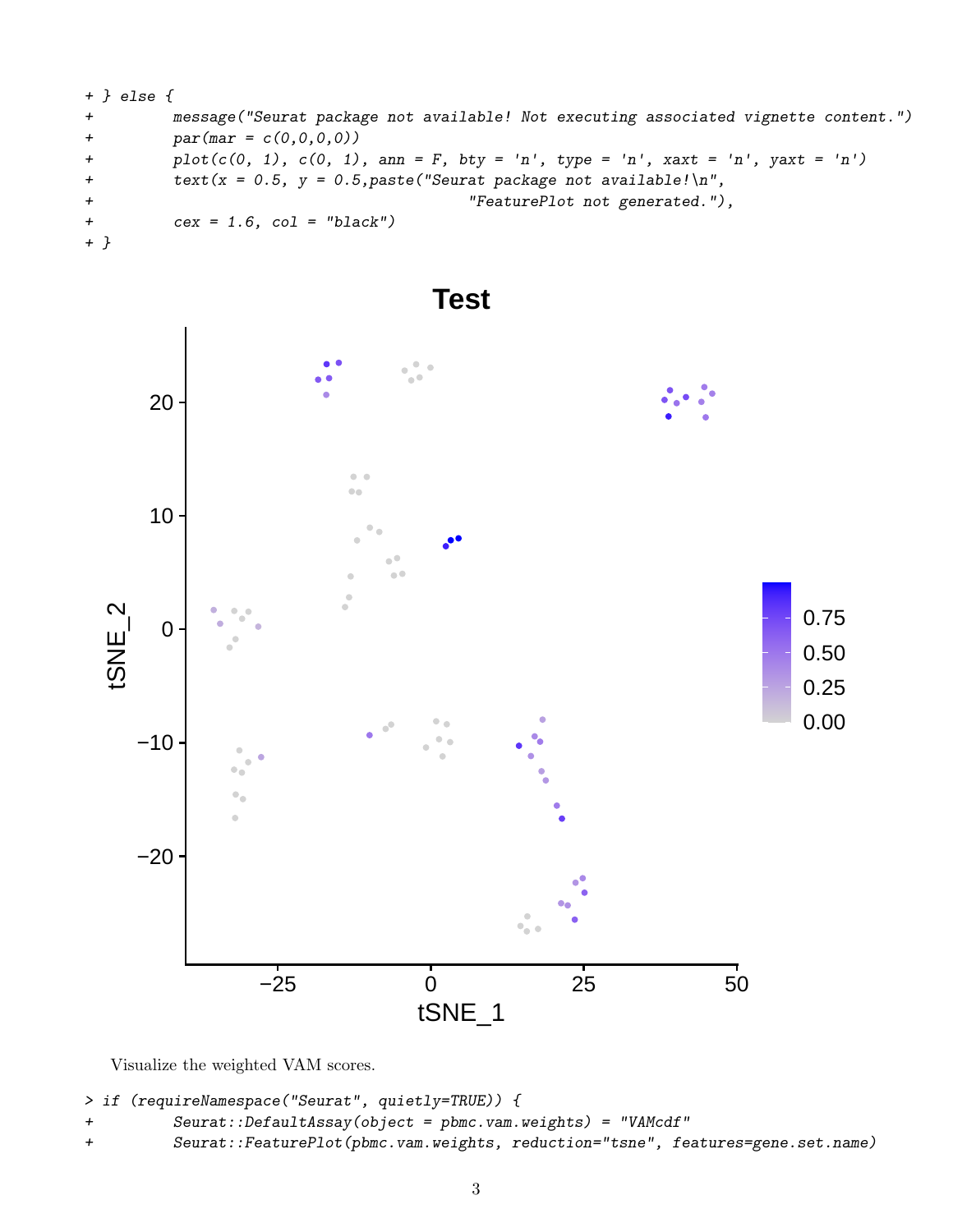```
+ } else {
+ message("Seurat package not available! Not executing associated vignette content.")
+ par(max = c(0, 0, 0, 0))+ plot(c(0, 1), c(0, 1), am = F, bty = 'n', type = 'n', xext = 'n', yext = 'n')+ text(x = 0.5, y = 0.5, paste("Seurat package not available! \n".+ "FeaturePlot not generated."),
+ cex = 1.6, col = "black")
+ }
```


Visualize the weighted VAM scores.

```
> if (requireNamespace("Seurat", quietly=TRUE)) {
```

```
+ Seurat::DefaultAssay(object = pbmc.vam.weights) = "VAMcdf"
```

```
+ Seurat::FeaturePlot(pbmc.vam.weights, reduction="tsne", features=gene.set.name)
```